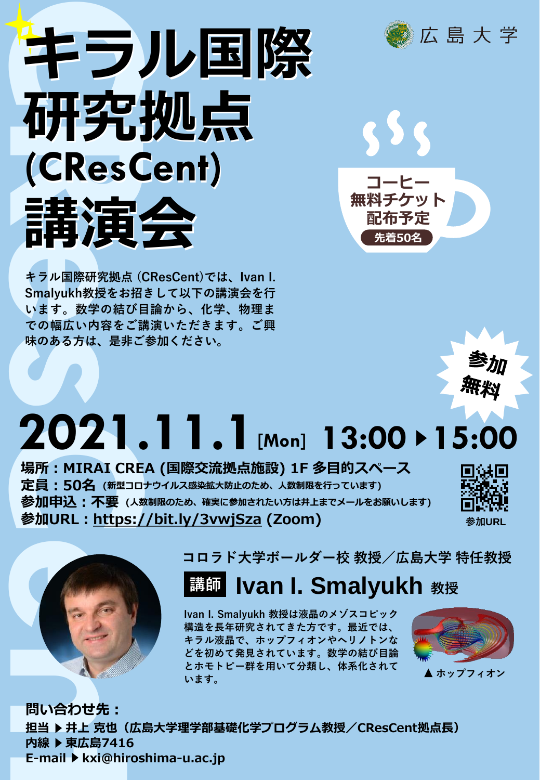

**キラル国際研究拠点 (CResCent)では、Ivan I. Smalyukh教授をお招きして以下の講演会を行 います。数学の結び目論から、化学、物理ま での幅広い内容をご講演いただきます。ご興 味のある方は、是非ご参加ください。**







## **2021.11.1[Mon] 13:00 15:00**

**場所:MIRAI CREA (国際交流拠点施設) 1F 多目的スペース 定員:50名 (新型コロナウイルス感染拡大防止のため、人数制限を行っています) 参加申込:不要 (人数制限のため、確実に参加されたい方は井上までメールをお願いします) 参加URL:<https://bit.ly/3vwjSza> (Zoom)**





**コロラド大学ボールダー校 教授/広島大学 特任教授**

## **Ivan I. Smalyukh 教授**

**Ivan I. Smalyukh 教授は液晶のメゾスコピック 構造を長年研究されてきた方です。最近では、 キラル液晶で、ホップフィオンやヘリノトンな どを初めて発見されています。数学の結び目論 とホモトピー群を用いて分類し、体系化されて います。**



**問い合わせ先: 担当 井上 克也(広島大学理学部基礎化学プログラム教授/CResCent拠点長) 内線 東広島7416 E-mail ▶ kxi@hiroshima-u.ac.jp**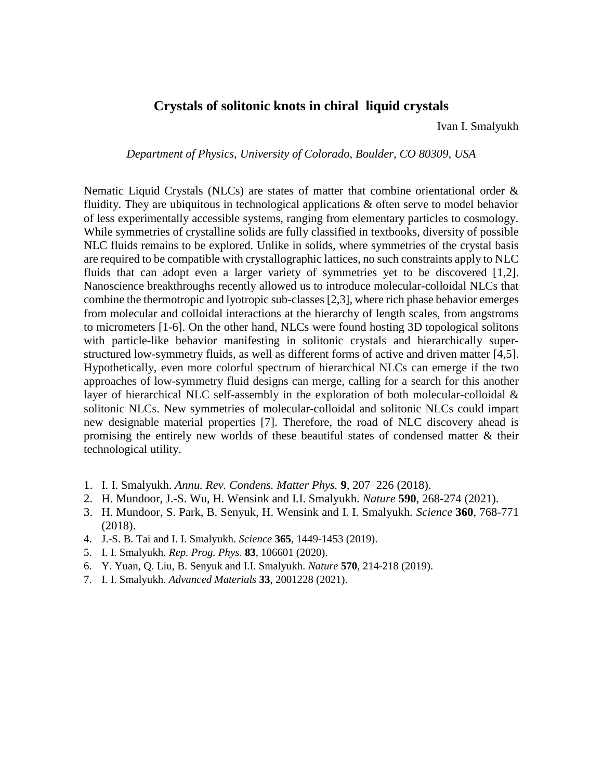## **Crystals of solitonic knots in chiral liquid crystals**

Ivan I. Smalyukh

*Department of Physics, University of Colorado, Boulder, CO 80309, USA*

Nematic Liquid Crystals (NLCs) are states of matter that combine orientational order & fluidity. They are ubiquitous in technological applications & often serve to model behavior of less experimentally accessible systems, ranging from elementary particles to cosmology. While symmetries of crystalline solids are fully classified in textbooks, diversity of possible NLC fluids remains to be explored. Unlike in solids, where symmetries of the crystal basis are required to be compatible with crystallographic lattices, no such constraints apply to NLC fluids that can adopt even a larger variety of symmetries yet to be discovered [1,2]. Nanoscience breakthroughs recently allowed us to introduce molecular-colloidal NLCs that combine the thermotropic and lyotropic sub-classes [2,3], where rich phase behavior emerges from molecular and colloidal interactions at the hierarchy of length scales, from angstroms to micrometers [1-6]. On the other hand, NLCs were found hosting 3D topological solitons with particle-like behavior manifesting in solitonic crystals and hierarchically superstructured low-symmetry fluids, as well as different forms of active and driven matter [4,5]. Hypothetically, even more colorful spectrum of hierarchical NLCs can emerge if the two approaches of low-symmetry fluid designs can merge, calling for a search for this another layer of hierarchical NLC self-assembly in the exploration of both molecular-colloidal & solitonic NLCs. New symmetries of molecular-colloidal and solitonic NLCs could impart new designable material properties [7]. Therefore, the road of NLC discovery ahead is promising the entirely new worlds of these beautiful states of condensed matter & their technological utility.

- 1. I. I. Smalyukh. *Annu. Rev. Condens. Matter Phys.* **9**, 207–226 (2018).
- 2. H. Mundoor, J.-S. Wu, H. Wensink and I.I. Smalyukh. *Nature* **590**, 268-274 (2021).
- 3. H. Mundoor, S. Park, B. Senyuk, H. Wensink and I. I. Smalyukh. *Science* **360**, 768-771 (2018).
- 4. J.-S. B. Tai and I. I. Smalyukh. *Science* **365**, 1449-1453 (2019).
- 5. I. I. Smalyukh. *Rep. Prog. Phys.* **83**, 106601 (2020).
- 6. Y. Yuan, Q. Liu, B. Senyuk and I.I. Smalyukh. *Nature* **570**, 214-218 (2019).
- 7. I. I. Smalyukh. *Advanced Materials* **33**, 2001228 (2021).